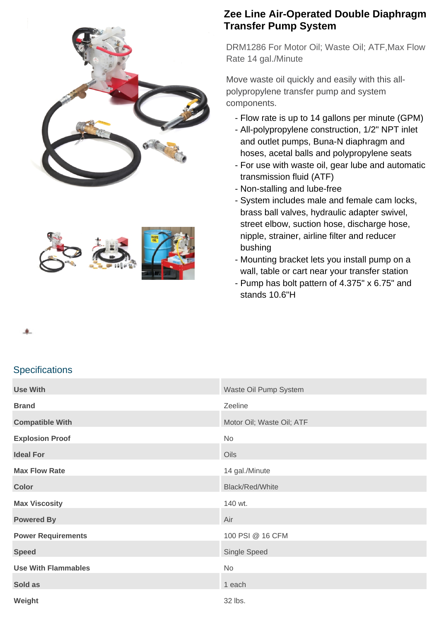



## **Zee Line Air-Operated Double Diaphragm Transfer Pump System**

DRM1286 For Motor Oil; Waste Oil; ATF,Max Flow Rate 14 gal./Minute

Move waste oil quickly and easily with this allpolypropylene transfer pump and system components.

- Flow rate is up to 14 gallons per minute (GPM)
- All-polypropylene construction, 1/2" NPT inlet and outlet pumps, Buna-N diaphragm and hoses, acetal balls and polypropylene seats
- For use with waste oil, gear lube and automatic transmission fluid (ATF)
- Non-stalling and lube-free
- System includes male and female cam locks, brass ball valves, hydraulic adapter swivel, street elbow, suction hose, discharge hose, nipple, strainer, airline filter and reducer bushing
- Mounting bracket lets you install pump on a wall, table or cart near your transfer station
- Pump has bolt pattern of 4.375" x 6.75" and stands 10.6"H

## 鱼

## **Specifications**

| <b>Use With</b>            | Waste Oil Pump System     |
|----------------------------|---------------------------|
| <b>Brand</b>               | Zeeline                   |
| <b>Compatible With</b>     | Motor Oil; Waste Oil; ATF |
| <b>Explosion Proof</b>     | No                        |
| <b>Ideal For</b>           | Oils                      |
| <b>Max Flow Rate</b>       | 14 gal./Minute            |
| <b>Color</b>               | Black/Red/White           |
| <b>Max Viscosity</b>       | 140 wt.                   |
| <b>Powered By</b>          | Air                       |
| <b>Power Requirements</b>  | 100 PSI @ 16 CFM          |
| <b>Speed</b>               | Single Speed              |
| <b>Use With Flammables</b> | No                        |
| Sold as                    | 1 each                    |
| Weight                     | 32 lbs.                   |